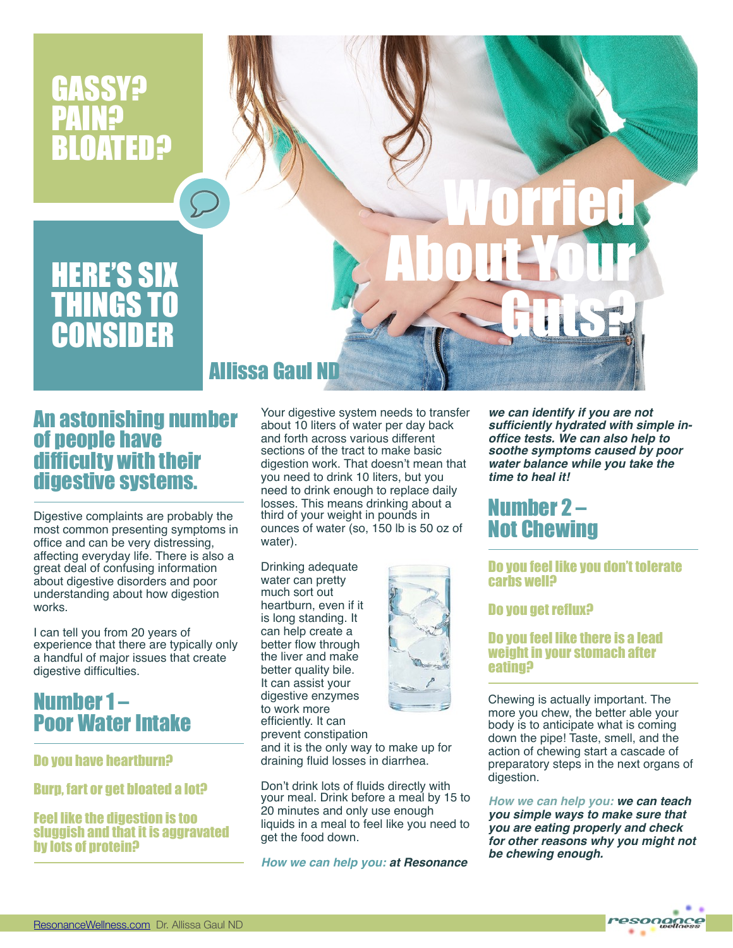

### An astonishing number of people have difficulty with their digestive systems.

Digestive complaints are probably the most common presenting symptoms in office and can be very distressing, affecting everyday life. There is also a great deal of confusing information about digestive disorders and poor understanding about how digestion works.

I can tell you from 20 years of experience that there are typically only a handful of major issues that create digestive difficulties.

## Number 1 – Poor Water Intake

Do you have heartburn?

Burp, fart or get bloated a lot?

#### Feel like the digestion is too sluggish and that it is aggravated by lots of protein?

Your digestive system needs to transfer about 10 liters of water per day back and forth across various different sections of the tract to make basic digestion work. That doesn't mean that you need to drink 10 liters, but you need to drink enough to replace daily losses. This means drinking about a third of your weight in pounds in ounces of water (so, 150 lb is 50 oz of water).

Drinking adequate water can pretty much sort out heartburn, even if it is long standing. It can help create a better flow through the liver and make better quality bile. It can assist your digestive enzymes to work more efficiently. It can prevent constipation and it is the only way to make up for draining fluid losses in diarrhea.



*How we can help you: at Resonance* 

*we can identify if you are not sufficiently hydrated with simple inoffice tests. We can also help to soothe symptoms caused by poor water balance while you take the time to heal it!*

### Number 2 – Not Chewing

#### Do you feel like you don't tolerate carbs well?

### Do you get reflux?

### Do you feel like there is a lead weight in your stomach after eating?

Chewing is actually important. The more you chew, the better able your body is to anticipate what is coming down the pipe! Taste, smell, and the action of chewing start a cascade of preparatory steps in the next organs of digestion.

*How we can help you: we can teach you simple ways to make sure that you are eating properly and check for other reasons why you might not be chewing enough.*

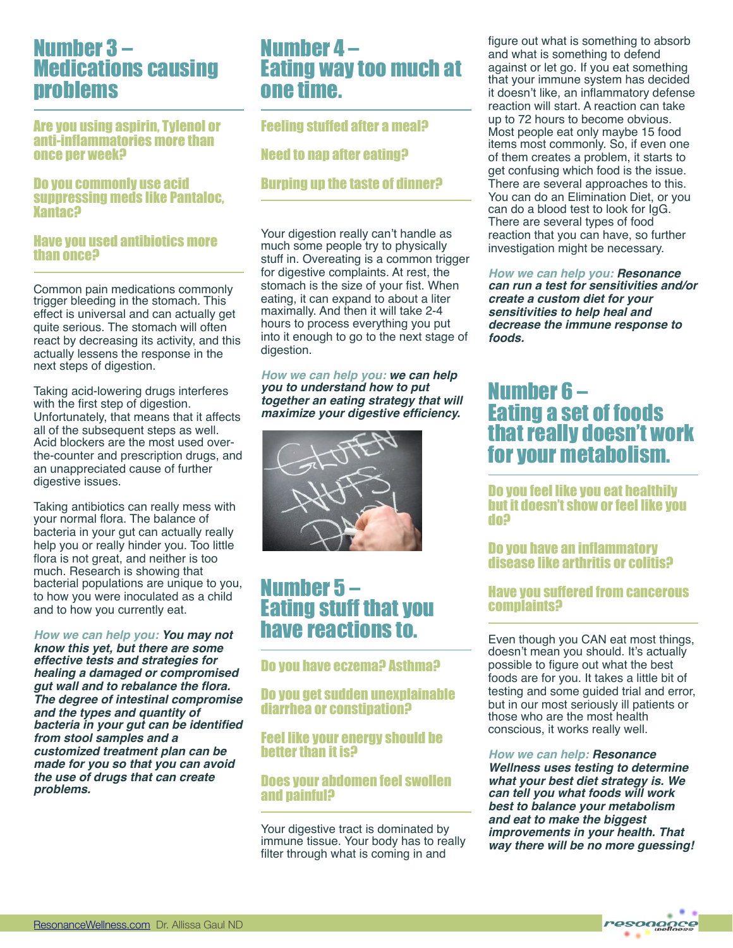### Number 3 – Medications causing problems

Are you using aspirin, Tylenol or anti-inflammatories more than once per week?

#### Do you commonly use acid suppressing meds like Pantaloc, Xantac?

#### Have you used antibiotics more than once?

Common pain medications commonly trigger bleeding in the stomach. This effect is universal and can actually get quite serious. The stomach will often react by decreasing its activity, and this actually lessens the response in the next steps of digestion.

Taking acid-lowering drugs interferes with the first step of digestion. Unfortunately, that means that it affects all of the subsequent steps as well. Acid blockers are the most used overthe-counter and prescription drugs, and an unappreciated cause of further digestive issues.

Taking antibiotics can really mess with your normal flora. The balance of bacteria in your gut can actually really help you or really hinder you. Too little flora is not great, and neither is too much. Research is showing that bacterial populations are unique to you, to how you were inoculated as a child and to how you currently eat.

*How we can help you: You may not know this yet, but there are some effective tests and strategies for healing a damaged or compromised gut wall and to rebalance the flora. The degree of intestinal compromise and the types and quantity of bacteria in your gut can be identified from stool samples and a customized treatment plan can be made for you so that you can avoid the use of drugs that can create problems.*

### Number 4 – Eating way too much at one time.

Feeling stuffed after a meal?

Need to nap after eating?

### Burping up the taste of dinner?

Your digestion really can't handle as much some people try to physically stuff in. Overeating is a common trigger for digestive complaints. At rest, the stomach is the size of your fist. When eating, it can expand to about a liter maximally. And then it will take 2-4 hours to process everything you put into it enough to go to the next stage of digestion.

*How we can help you: we can help you to understand how to put together an eating strategy that will maximize your digestive efficiency.*



### Number 5 – Eating stuff that you have reactions to.

### Do you have eczema? Asthma?

Do you get sudden unexplainable diarrhea or constipation?

Feel like your energy should be better than it is?

### Does your abdomen feel swollen and painful?

Your digestive tract is dominated by immune tissue. Your body has to really filter through what is coming in and

figure out what is something to absorb and what is something to defend against or let go. If you eat something that your immune system has decided it doesn't like, an inflammatory defense reaction will start. A reaction can take up to 72 hours to become obvious. Most people eat only maybe 15 food items most commonly. So, if even one of them creates a problem, it starts to get confusing which food is the issue. There are several approaches to this. You can do an Elimination Diet, or you can do a blood test to look for IgG. There are several types of food reaction that you can have, so further investigation might be necessary.

*How we can help you: Resonance can run a test for sensitivities and/or create a custom diet for your sensitivities to help heal and decrease the immune response to foods.*

### Number 6 – Eating a set of foods that really doesn't work for your metabolism.

Do you feel like you eat healthily but it doesn't show or feel like you do?

### Do you have an inflammatory disease like arthritis or colitis?

### Have you suffered from cancerous complaints?

Even though you CAN eat most things, doesn't mean you should. It's actually possible to figure out what the best foods are for you. It takes a little bit of testing and some guided trial and error, but in our most seriously ill patients or those who are the most health conscious, it works really well.

*How we can help: Resonance Wellness uses testing to determine what your best diet strategy is. We can tell you what foods will work best to balance your metabolism and eat to make the biggest improvements in your health. That way there will be no more guessing!*